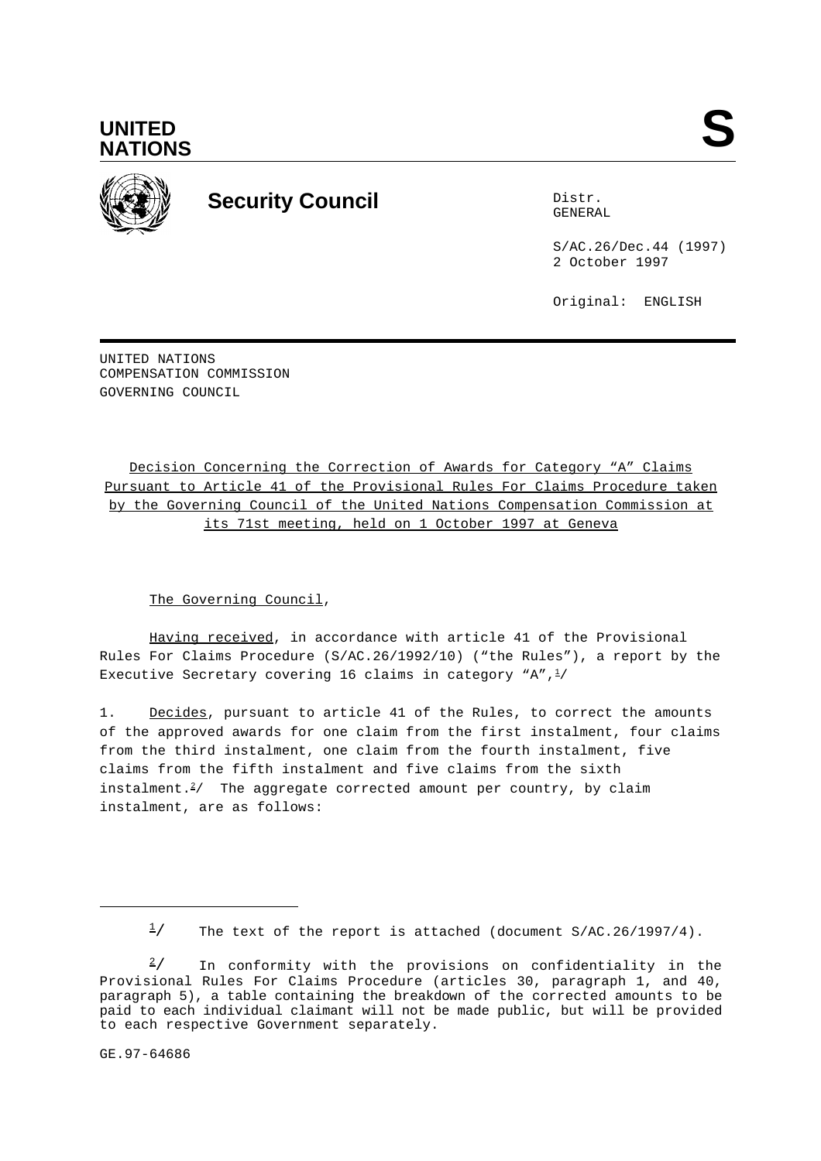



# **Security Council** Distribution Distribution of Distribution Distribution Distribution Distribution Distribution Distribution Distribution Distribution Distribution Distribution Distribution Distribution Distribution Distr

GENERAL

S/AC.26/Dec.44 (1997) 2 October 1997

Original: ENGLISH

UNITED NATIONS COMPENSATION COMMISSION GOVERNING COUNCIL

Decision Concerning the Correction of Awards for Category "A" Claims Pursuant to Article 41 of the Provisional Rules For Claims Procedure taken by the Governing Council of the United Nations Compensation Commission at its 71st meeting, held on 1 October 1997 at Geneva

The Governing Council,

Having received, in accordance with article 41 of the Provisional Rules For Claims Procedure (S/AC.26/1992/10) ("the Rules"), a report by the Executive Secretary covering 16 claims in category "A", $\frac{1}{2}$ /

1. Decides, pursuant to article 41 of the Rules, to correct the amounts of the approved awards for one claim from the first instalment, four claims from the third instalment, one claim from the fourth instalment, five claims from the fifth instalment and five claims from the sixth instalment. $2/$  The aggregate corrected amount per country, by claim instalment, are as follows:

GE.97-64686

 $\frac{1}{2}$  The text of the report is attached (document S/AC.26/1997/4).

In conformity with the provisions on confidentiality in the  $\frac{2}{ }$  / Provisional Rules For Claims Procedure (articles 30, paragraph 1, and 40, paragraph 5), a table containing the breakdown of the corrected amounts to be paid to each individual claimant will not be made public, but will be provided to each respective Government separately.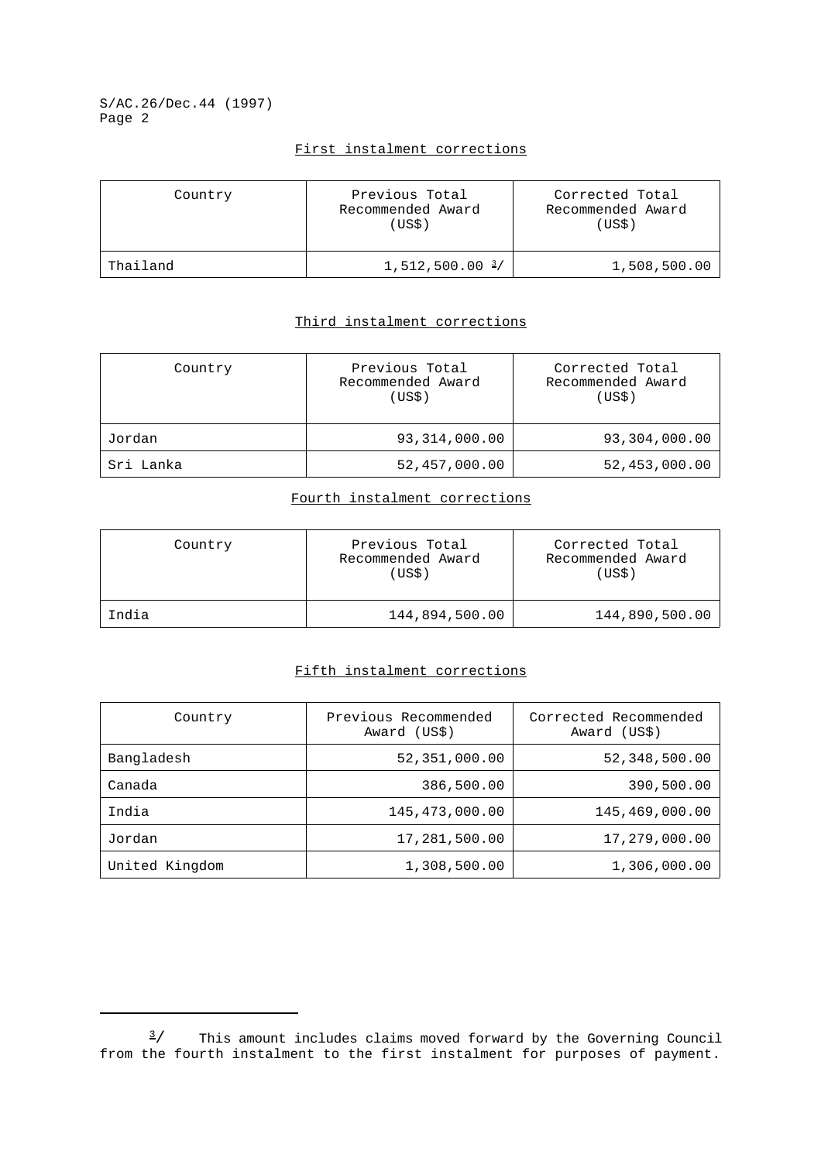S/AC.26/Dec.44 (1997) Page 2

## First instalment corrections

| Country  | Previous Total<br>Recommended Award<br>(USS) | Corrected Total<br>Recommended Award<br>(US\$) |
|----------|----------------------------------------------|------------------------------------------------|
| Thailand | $1,512,500.00 \frac{3}{ }$                   | 1,508,500.00                                   |

# Third instalment corrections

| Country   | Previous Total<br>Recommended Award<br>(USS) | Corrected Total<br>Recommended Award<br>(USS) |
|-----------|----------------------------------------------|-----------------------------------------------|
| Jordan    | 93, 314, 000.00                              | 93,304,000.00                                 |
| Sri Lanka | 52,457,000.00                                | 52, 453, 000.00                               |

#### Fourth instalment corrections

| Country | Previous Total<br>Recommended Award<br>(US\$) | Corrected Total<br>Recommended Award<br>(US\$) |
|---------|-----------------------------------------------|------------------------------------------------|
| India   | 144,894,500.00                                | 144,890,500.00                                 |

# Fifth instalment corrections

| Country        | Previous Recommended<br>Award (US\$) | Corrected Recommended<br>Award (US\$) |
|----------------|--------------------------------------|---------------------------------------|
| Bangladesh     | 52,351,000.00                        | 52,348,500.00                         |
| Canada         | 386,500.00                           | 390,500.00                            |
| India          | 145, 473, 000.00                     | 145,469,000.00                        |
| Jordan         | 17,281,500.00                        | 17,279,000.00                         |
| United Kingdom | 1,308,500.00                         | 1,306,000.00                          |

 $\frac{3}{4}$  This amount includes claims moved forward by the Governing Council from the fourth instalment to the first instalment for purposes of payment.